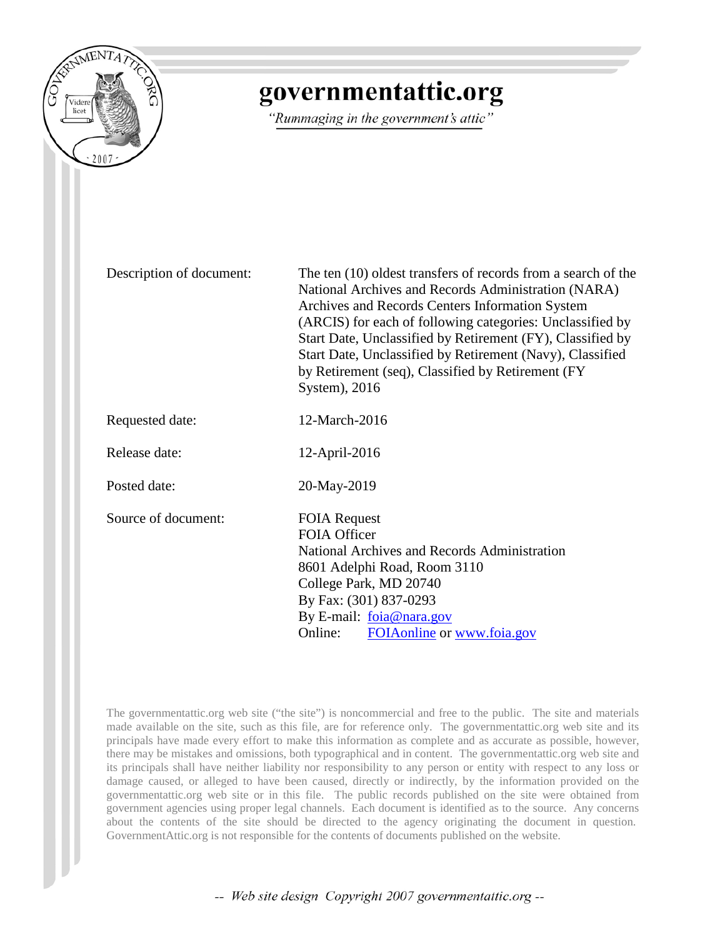

## governmentattic.org

"Rummaging in the government's attic"

Description of document: The ten (10) oldest transfers of records from a search of the National Archives and Records Administration (NARA) Archives and Records Centers Information System (ARCIS) for each of following categories: Unclassified by Start Date, Unclassified by Retirement (FY), Classified by Start Date, Unclassified by Retirement (Navy), Classified by Retirement (seq), Classified by Retirement (FY System), 2016 Requested date: 12-March-2016 Release date: 12-April-2016 Posted date: 20-May-2019 Source of document: FOIA Request FOIA Officer National Archives and Records Administration 8601 Adelphi Road, Room 3110 College Park, MD 20740 By Fax: (301) 837-0293 By E-mail: [foia@nara.gov](mailto:foia@nara.gov) Online: [FOIAonline](https://foiaonline.gov/foiaonline/action/public/home) or [www.foia.gov](https://www.foia.gov/)

The governmentattic.org web site ("the site") is noncommercial and free to the public. The site and materials made available on the site, such as this file, are for reference only. The governmentattic.org web site and its principals have made every effort to make this information as complete and as accurate as possible, however, there may be mistakes and omissions, both typographical and in content. The governmentattic.org web site and its principals shall have neither liability nor responsibility to any person or entity with respect to any loss or damage caused, or alleged to have been caused, directly or indirectly, by the information provided on the governmentattic.org web site or in this file. The public records published on the site were obtained from government agencies using proper legal channels. Each document is identified as to the source. Any concerns about the contents of the site should be directed to the agency originating the document in question. GovernmentAttic.org is not responsible for the contents of documents published on the website.

-- Web site design Copyright 2007 governmentattic.org --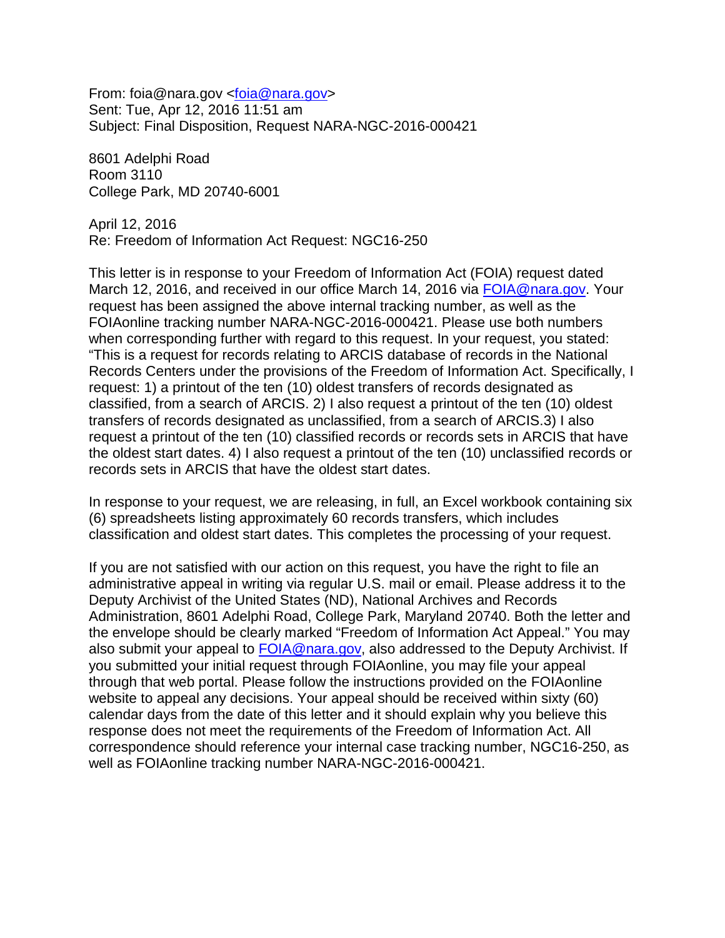From: foia@nara.gov [<foia@nara.gov>](mailto:foia@nara.gov) Sent: Tue, Apr 12, 2016 11:51 am Subject: Final Disposition, Request NARA-NGC-2016-000421

8601 Adelphi Road Room 3110 College Park, MD 20740-6001

April 12, 2016 Re: Freedom of Information Act Request: NGC16-250

This letter is in response to your Freedom of Information Act (FOIA) request dated March 12, 2016, and received in our office March 14, 2016 via [FOIA@nara.gov.](mailto:FOIA@nara.gov) Your request has been assigned the above internal tracking number, as well as the FOIAonline tracking number NARA-NGC-2016-000421. Please use both numbers when corresponding further with regard to this request. In your request, you stated: "This is a request for records relating to ARCIS database of records in the National Records Centers under the provisions of the Freedom of Information Act. Specifically, I request: 1) a printout of the ten (10) oldest transfers of records designated as classified, from a search of ARCIS. 2) I also request a printout of the ten (10) oldest transfers of records designated as unclassified, from a search of ARCIS.3) I also request a printout of the ten (10) classified records or records sets in ARCIS that have the oldest start dates. 4) I also request a printout of the ten (10) unclassified records or records sets in ARCIS that have the oldest start dates.

In response to your request, we are releasing, in full, an Excel workbook containing six (6) spreadsheets listing approximately 60 records transfers, which includes classification and oldest start dates. This completes the processing of your request.

If you are not satisfied with our action on this request, you have the right to file an administrative appeal in writing via regular U.S. mail or email. Please address it to the Deputy Archivist of the United States (ND), National Archives and Records Administration, 8601 Adelphi Road, College Park, Maryland 20740. Both the letter and the envelope should be clearly marked "Freedom of Information Act Appeal." You may also submit your appeal to [FOIA@nara.gov,](mailto:FOIA@nara.gov) also addressed to the Deputy Archivist. If you submitted your initial request through FOIAonline, you may file your appeal through that web portal. Please follow the instructions provided on the FOIAonline website to appeal any decisions. Your appeal should be received within sixty (60) calendar days from the date of this letter and it should explain why you believe this response does not meet the requirements of the Freedom of Information Act. All correspondence should reference your internal case tracking number, NGC16-250, as well as FOIAonline tracking number NARA-NGC-2016-000421.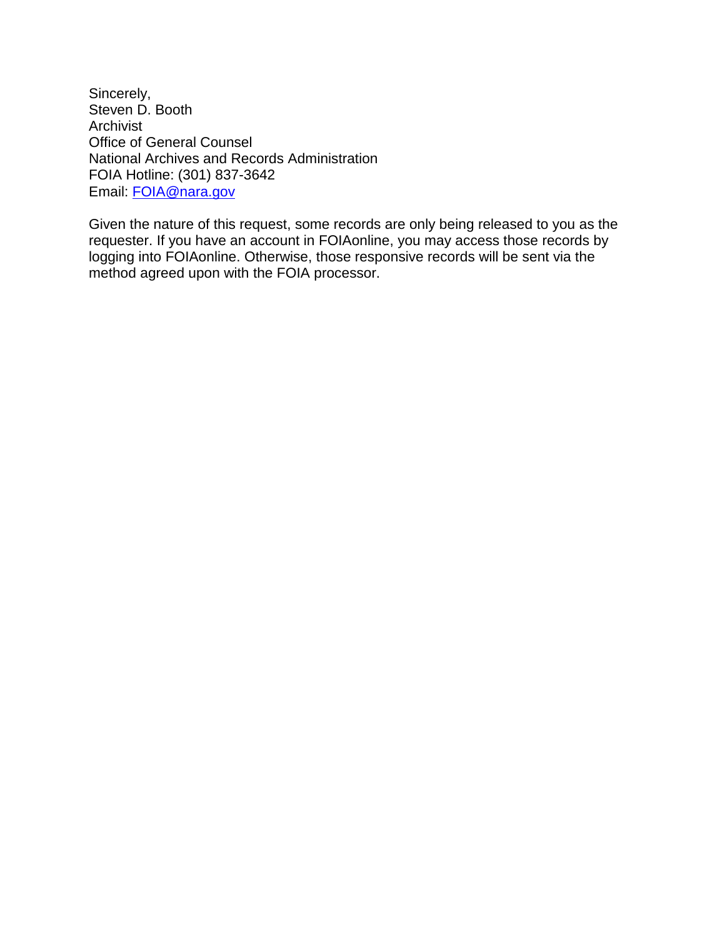Sincerely, Steven D. Booth Archivist Office of General Counsel National Archives and Records Administration FOIA Hotline: (301) 837-3642 Email: [FOIA@nara.gov](mailto:FOIA@nara.gov)

Given the nature of this request, some records are only being released to you as the requester. If you have an account in FOIAonline, you may access those records by logging into FOIAonline. Otherwise, those responsive records will be sent via the method agreed upon with the FOIA processor.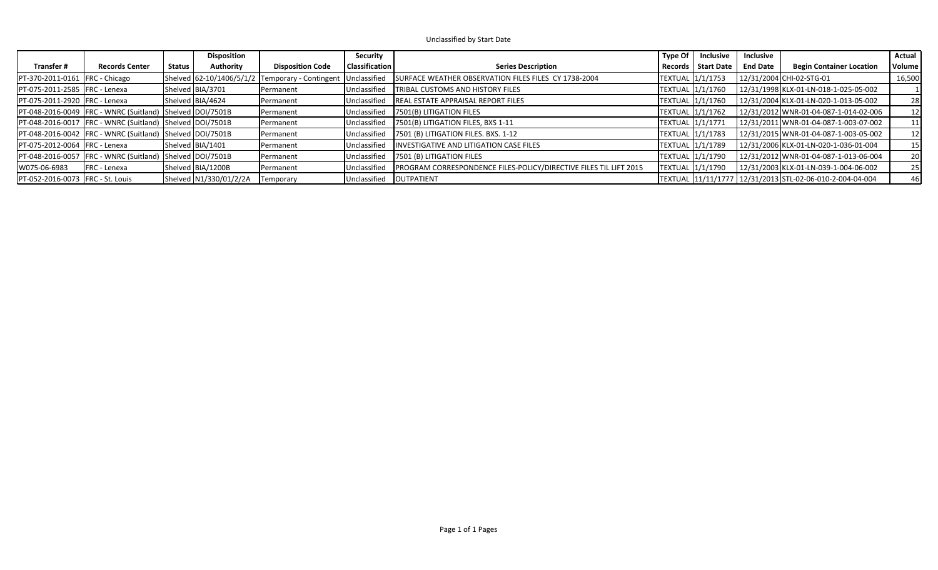Unclassified by Start Date

|                                      |                                                                  |               | <b>Disposition</b>     |                                                 | Security              |                                                                   | Type Of $ $ | Inclusive            | Inclusive       |                                                          | Actual    |
|--------------------------------------|------------------------------------------------------------------|---------------|------------------------|-------------------------------------------------|-----------------------|-------------------------------------------------------------------|-------------|----------------------|-----------------|----------------------------------------------------------|-----------|
| Transfer #                           | <b>Records Center</b>                                            | <b>Status</b> | Authority              | <b>Disposition Code</b>                         | <b>Classification</b> | <b>Series Description</b>                                         |             | Records   Start Date | <b>End Date</b> | <b>Begin Container Location</b>                          | Volume    |
| PT-370-2011-0161   FRC - Chicago     |                                                                  |               |                        | Shelved 62-10/1406/5/1/2 Temporary - Contingent | Unclassified          | SURFACE WEATHER OBSERVATION FILES FILES CY 1738-2004              |             | TEXTUAL 1/1/1753     |                 | 12/31/2004 CHI-02-STG-01                                 | 16,500    |
| PT-075-2011-2585 FRC - Lenexa        |                                                                  |               | Shelved BIA/3701       | Permanent                                       | Unclassified          | <b>TRIBAL CUSTOMS AND HISTORY FILES</b>                           |             | TEXTUAL 1/1/1760     |                 | 12/31/1998 KLX-01-LN-018-1-025-05-002                    |           |
| PT-075-2011-2920 FRC - Lenexa        |                                                                  |               | Shelved BIA/4624       | Permanent                                       | Unclassified          | REAL ESTATE APPRAISAL REPORT FILES                                |             |                      |                 | 12/31/2004 KLX-01-LN-020-1-013-05-002                    | 28        |
|                                      | PT-048-2016-0049   FRC - WNRC (Suitland)   Shelved   DOI / 7501B |               |                        | Permanent                                       | Unclassified          | 7501(B) LITIGATION FILES                                          |             | TEXTUAL 1/1/1762     |                 | 12/31/2012 WNR-01-04-087-1-014-02-006                    | 12        |
|                                      | PT-048-2016-0017   FRC - WNRC (Suitland) Shelved DOI/7501B       |               |                        | Permanent                                       | Unclassified          | 7501(B) LITIGATION FILES, BXS 1-11                                |             | TEXTUAL 1/1/1771     |                 | 12/31/2011 WNR-01-04-087-1-003-07-002                    | 11        |
|                                      | PT-048-2016-0042 FRC - WNRC (Suitland) Shelved DOI/7501B         |               |                        | Permanent                                       | Unclassified          | 7501 (B) LITIGATION FILES. BXS. 1-12                              |             | TEXTUAL 1/1/1783     |                 | 12/31/2015 WNR-01-04-087-1-003-05-002                    | 12        |
| <b>PT-075-2012-0064 FRC - Lenexa</b> |                                                                  |               | Shelved BIA/1401       | Permanent                                       | Unclassified          | INVESTIGATIVE AND LITIGATION CASE FILES                           |             | TEXTUAL 1/1/1789     |                 | 12/31/2006 KLX-01-LN-020-1-036-01-004                    | 15        |
|                                      | PT-048-2016-0057   FRC - WNRC (Suitland) Shelved   DOI / 7501B   |               |                        | Permanent                                       | Unclassified          | 7501 (B) LITIGATION FILES                                         |             | TEXTUAL 1/1/1790     |                 | 12/31/2012 WNR-01-04-087-1-013-06-004                    | <b>20</b> |
| W075-06-6983                         | <b>FRC</b> - Lenexa                                              |               | Shelved BIA/1200B      | Permanent                                       | Unclassified          | PROGRAM CORRESPONDENCE FILES-POLICY/DIRECTIVE FILES TIL LIFT 2015 |             | TEXTUAL 1/1/1790     |                 | 12/31/2003 KLX-01-LN-039-1-004-06-002                    | 25        |
| PT-052-2016-0073 FRC - St. Louis     |                                                                  |               | Shelved N1/330/01/2/2A | Temporary                                       |                       | Unclassified   OUTPATIENT                                         |             |                      |                 | TEXTUAL 11/11/1777 12/31/2013 STL-02-06-010-2-004-04-004 | 46        |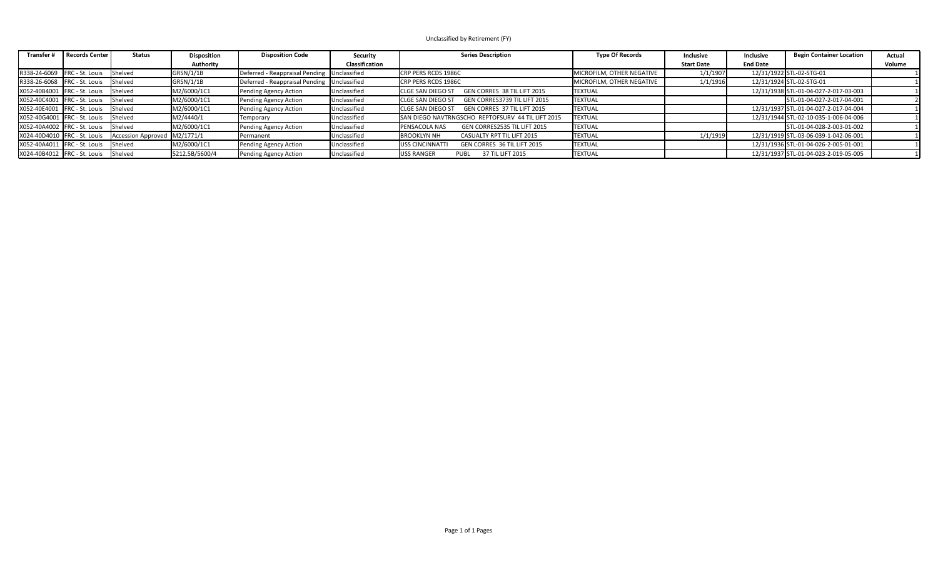## Unclassified by Retirement (FY)

| <b>Transfer#</b>               | <b>Records Center</b>                    | <b>Status</b>             | <b>Disposition</b> | <b>Disposition Code</b>                       | Security       | <b>Series Description</b>                                | <b>Type Of Records</b>    | Inclusive         | Inclusive       | <b>Begin Container Location</b>       | Actual |
|--------------------------------|------------------------------------------|---------------------------|--------------------|-----------------------------------------------|----------------|----------------------------------------------------------|---------------------------|-------------------|-----------------|---------------------------------------|--------|
|                                |                                          |                           | Authority          |                                               | Classification |                                                          |                           | <b>Start Date</b> | <b>End Date</b> |                                       | Volume |
|                                | R338-24-6069   FRC - St. Louis   Shelved |                           | GRSN/1/1B          | Deferred - Reappraisal Pending   Unclassified |                | <b>CRP PERS RCDS 1986C</b>                               | MICROFILM, OTHER NEGATIVE | 1/1/1907          |                 | 12/31/1922 STL-02-STG-01              |        |
| R338-26-6068 FRC - St. Louis   |                                          | Shelved                   | GRSN/1/1B          | Deferred - Reappraisal Pending Unclassified   |                | <b>CRP PERS RCDS 1986C</b>                               | MICROFILM, OTHER NEGATIVE | 1/1/1916          |                 | 12/31/1924 STL-02-STG-01              |        |
| X052-40B4001 FRC - St. Louis   |                                          | Shelved                   | M2/6000/1C1        | Pending Agency Action                         | Unclassified   | GEN CORRES 38 TIL LIFT 2015<br><b>CLGE SAN DIEGO ST</b>  | <b>TEXTUAL</b>            |                   |                 | 12/31/1938 STL-01-04-027-2-017-03-003 |        |
| X052-40C4001   FRC - St. Louis |                                          | Shelved                   | M2/6000/1C1        | Pending Agency Action                         | Unclassified   | GEN CORRES3739 TIL LIFT 2015<br><b>CLGE SAN DIEGO ST</b> | <b>TEXTUAL</b>            |                   |                 | STL-01-04-027-2-017-04-001            |        |
| X052-40E4001   FRC - St. Louis |                                          | Shelved                   | M2/6000/1C1        | Pending Agency Action                         | Unclassified   | GEN CORRES 37 TIL LIFT 2015<br><b>CLGE SAN DIEGO ST</b>  | <b>TEXTUAL</b>            |                   |                 | 12/31/1937 STL-01-04-027-2-017-04-004 |        |
| X052-40G4001 FRC - St. Louis   |                                          | Shelved                   | M2/4440/1          | Temporary                                     | Unclassified   | SAN DIEGO NAVTRNGSCHO REPTOFSURV 44 TIL LIFT 2015        | <b>TEXTUAL</b>            |                   |                 | 12/31/1944 STL-02-10-035-1-006-04-006 |        |
| X052-40A4002   FRC - St. Louis |                                          | <b>Shelved</b>            | M2/6000/1C1        | Pending Agency Action                         | Unclassified   | PENSACOLA NAS<br>GEN CORRES2535 TIL LIFT 2015            | <b>TEXTUAL</b>            |                   |                 | STL-01-04-028-2-003-01-002            |        |
| X024-40D4010   FRC - St. Louis |                                          | <b>Accession Approved</b> | M2/1771/1          | Permanent                                     | Unclassified   | <b>BROOKLYN NH</b><br>CASUALTY RPT TIL LIFT 2015         | <b>TEXTUAL</b>            | 1/1/1919          |                 | 12/31/1919 STL-03-06-039-1-042-06-001 |        |
| X052-40A4011   FRC - St. Louis |                                          | Shelved                   | M2/6000/1C1        | Pending Agency Action                         | Unclassified   | GEN CORRES 36 TIL LIFT 2015<br><b>USS CINCINNATTI</b>    | <b>TEXTUAL</b>            |                   |                 | 12/31/1936 STL-01-04-026-2-005-01-001 |        |
| X024-40B4012   FRC - St. Louis |                                          | <b>Shelved</b>            | 5212.5B/5600/4     | Pending Agency Action                         | Unclassified   | <b>USS RANGER</b><br>37 TIL LIFT 2015<br>PUBL            | <b>TEXTUAL</b>            |                   |                 | 12/31/1937 STL-01-04-023-2-019-05-005 |        |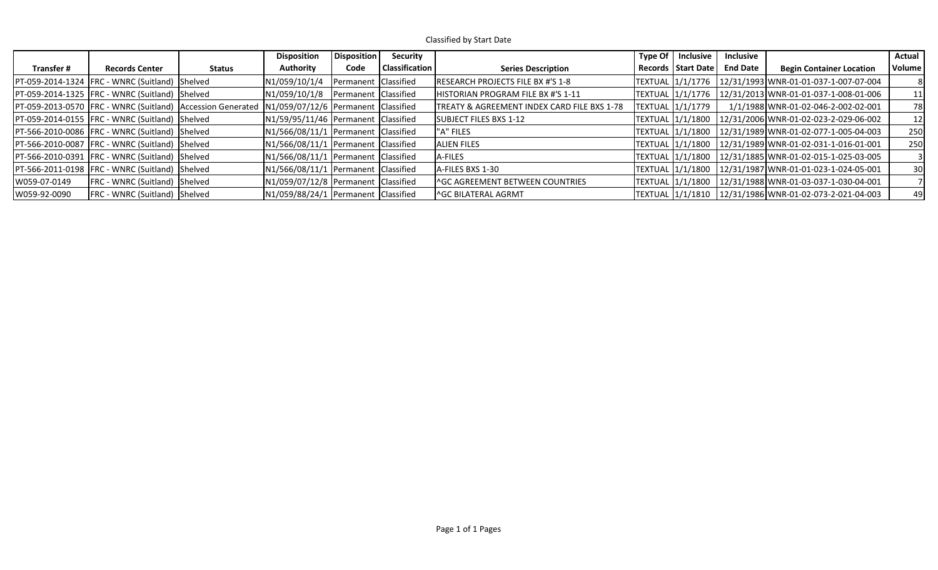Classified by Start Date

|              |                                                            |        | <b>Disposition</b>                      | Disposition          | Security              |                                             | Type Of $\vert$ Inclusive | <b>Inclusive</b> |                                                        | <b>Actual</b> |
|--------------|------------------------------------------------------------|--------|-----------------------------------------|----------------------|-----------------------|---------------------------------------------|---------------------------|------------------|--------------------------------------------------------|---------------|
| Transfer #   | <b>Records Center</b>                                      | Status | Authority                               | Code                 | <b>Classification</b> | <b>Series Description</b>                   | Records   Start Date      | <b>End Date</b>  | <b>Begin Container Location</b>                        | Volume        |
|              | PT-059-2014-1324   FRC - WNRC (Suitland) Shelved           |        | N1/059/10/1/4                           | Permanent Classified |                       | RESEARCH PROJECTS FILE BX #'S 1-8           |                           |                  | TEXTUAL 1/1/1776 12/31/1993 WNR-01-01-037-1-007-07-004 |               |
|              | PT-059-2014-1325   FRC - WNRC (Suitland) Shelved           |        | N1/059/10/1/8 Permanent Classified      |                      |                       | HISTORIAN PROGRAM FILE BX #'S 1-11          |                           |                  | TEXTUAL 1/1/1776 12/31/2013 WNR-01-01-037-1-008-01-006 | 11            |
|              | PT-059-2013-0570 FRC - WNRC (Suitland) Accession Generated |        | N1/059/07/12/6 Permanent Classified     |                      |                       | TREATY & AGREEMENT INDEX CARD FILE BXS 1-78 | TEXTUAL 1/1/1779          |                  | 1/1/1988 WNR-01-02-046-2-002-02-001                    | 78            |
|              | PT-059-2014-0155   FRC - WNRC (Suitland) Shelved           |        | N1/59/95/11/46 Permanent Classified     |                      |                       | SUBJECT FILES BXS 1-12                      | TEXTUAL 1/1/1800          |                  | $12/31/2006$ WNR-01-02-023-2-029-06-002                | 12            |
|              | PT-566-2010-0086 FRC - WNRC (Suitland) Shelved             |        | $N1/566/08/11/1$ Permanent Classified   |                      |                       | "A" FILES                                   |                           |                  | TEXTUAL 1/1/1800 12/31/1989 WNR-01-02-077-1-005-04-003 | 250           |
|              | PT-566-2010-0087   FRC - WNRC (Suitland)   Shelved         |        | $N1/566/08/11/1$ Permanent Classified   |                      |                       | <b>ALIEN FILES</b>                          |                           |                  | TEXTUAL 1/1/1800 12/31/1989 WNR-01-02-031-1-016-01-001 | 250           |
|              | PT-566-2010-0391 FRC - WNRC (Suitland) Shelved             |        | N1/566/08/11/1   Permanent   Classified |                      |                       | A-FILES                                     |                           |                  | TEXTUAL 1/1/1800 12/31/1885 WNR-01-02-015-1-025-03-005 |               |
|              | PT-566-2011-0198   FRC - WNRC (Suitland) Shelved           |        | $N1/566/08/11/1$ Permanent Classified   |                      |                       | A-FILES BXS 1-30                            |                           |                  | TEXTUAL 1/1/1800 12/31/1987 WNR-01-01-023-1-024-05-001 | 30            |
| W059-07-0149 | <b>FRC</b> - WNRC (Suitland) Shelved                       |        | N1/059/07/12/8 Permanent Classified     |                      |                       | <b>AGC AGREEMENT BETWEEN COUNTRIES</b>      |                           |                  | TEXTUAL 1/1/1800 12/31/1988 WNR-01-03-037-1-030-04-001 |               |
| W059-92-0090 | <b>FRC</b> - WNRC (Suitland) Shelved                       |        | N1/059/88/24/1 Permanent Classified     |                      |                       | <sup> </sup> ^GC BILATERAL AGRMT            |                           |                  |                                                        | 49            |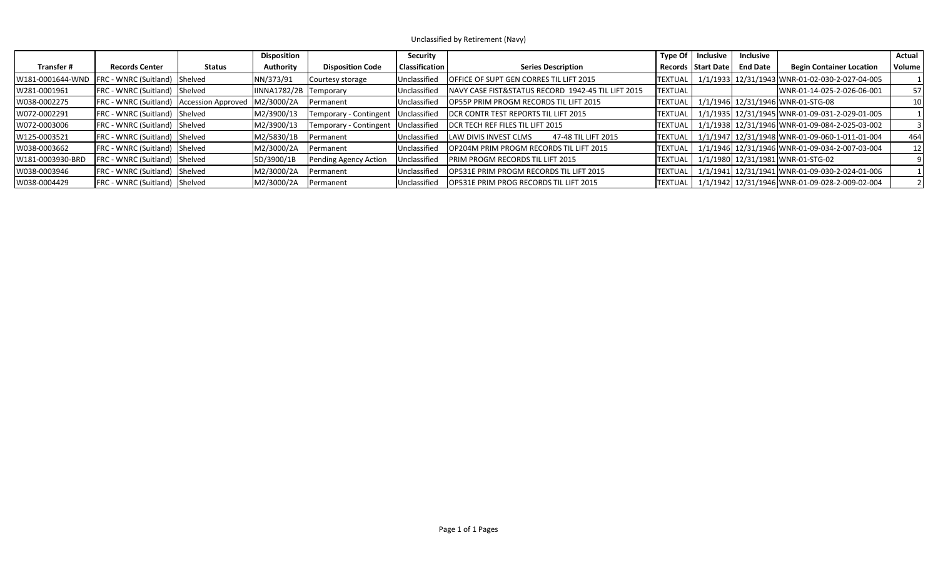Unclassified by Retirement (Navy)

|                  |                                                 |        | <b>Disposition</b>     |                         | Security              |                                                     | Type Of        | Inclusive            | <b>Inclusive</b> |                                                | Actual          |
|------------------|-------------------------------------------------|--------|------------------------|-------------------------|-----------------------|-----------------------------------------------------|----------------|----------------------|------------------|------------------------------------------------|-----------------|
| Transfer #       | <b>Records Center</b>                           | Status | <b>Authority</b>       | <b>Disposition Code</b> | <b>Classification</b> | <b>Series Description</b>                           |                | Records   Start Date | <b>End Date</b>  | <b>Begin Container Location</b>                | Volume          |
| W181-0001644-WND | FRC - WNRC (Suitland) Shelved                   |        | NN/373/91              | Courtesy storage        | Unclassified          | OFFICE OF SUPT GEN CORRES TIL LIFT 2015             | <b>TEXTUAL</b> |                      |                  | 1/1/1933 12/31/1943 WNR-01-02-030-2-027-04-005 |                 |
| W281-0001961     | <b>FRC</b> - WNRC (Suitland) Shelved            |        | IINNA1782/2B Temporary |                         | Unclassified          | INAVY CASE FIST&STATUS RECORD 1942-45 TIL LIFT 2015 | <b>TEXTUAL</b> |                      |                  | WNR-01-14-025-2-026-06-001                     | 57 I            |
| W038-0002275     | <b>FRC</b> - WNRC (Suitland) Accession Approved |        | M2/3000/2A             | <b>Permanent</b>        | Unclassified          | OP55P PRIM PROGM RECORDS TIL LIFT 2015              | <b>TEXTUAL</b> |                      |                  | 1/1/1946 12/31/1946 WNR-01-STG-08              | 10 <sup>1</sup> |
| W072-0002291     | FRC - WNRC (Suitland) Shelved                   |        | M2/3900/13             | Temporary - Contingent  | Unclassified          | <b>IDCR CONTR TEST REPORTS TIL LIFT 2015</b>        | <b>TEXTUAL</b> |                      |                  | 1/1/1935 12/31/1945 WNR-01-09-031-2-029-01-005 |                 |
| W072-0003006     | FRC - WNRC (Suitland) Shelved                   |        | M2/3900/13             | Temporary - Contingent  | Unclassified          | <b>IDCR TECH REF FILES TIL LIFT 2015</b>            | <b>TEXTUAL</b> |                      |                  | 1/1/1938 12/31/1946 WNR-01-09-084-2-025-03-002 |                 |
| W125-0003521     | FRC - WNRC (Suitland) Shelved                   |        | M2/5830/1B             | Permanent               | Unclassified          | LAW DIVIS INVEST CLMS<br>47-48 TIL LIFT 2015        | <b>TEXTUAL</b> |                      |                  | 1/1/1947 12/31/1948 WNR-01-09-060-1-011-01-004 | 464             |
| W038-0003662     | FRC - WNRC (Suitland) Shelved                   |        | M2/3000/2A             | <b>Permanent</b>        | Unclassified          | OP204M PRIM PROGM RECORDS TIL LIFT 2015             | <b>TEXTUAL</b> |                      |                  | 1/1/1946 12/31/1946 WNR-01-09-034-2-007-03-004 | 12 <sub>1</sub> |
| W181-0003930-BRD | FRC - WNRC (Suitland) Shelved                   |        | 5D/3900/1B             | Pending Agency Action   | Unclassified          | <b>PRIM PROGM RECORDS TIL LIFT 2015</b>             | <b>TEXTUAL</b> |                      |                  | 1/1/1980 12/31/1981 WNR-01-STG-02              |                 |
| W038-0003946     | FRC - WNRC (Suitland) Shelved                   |        | M2/3000/2A             | Permanent               | Unclassified          | OP531E PRIM PROGM RECORDS TIL LIFT 2015             | TEXTUAL        |                      |                  | 1/1/1941 12/31/1941 WNR-01-09-030-2-024-01-006 |                 |
| W038-0004429     | FRC - WNRC (Suitland) Shelved                   |        | M2/3000/2A             | Permanent               | Unclassified          | OP531E PRIM PROG RECORDS TIL LIFT 2015              | ITEXTUAL       |                      |                  | 1/1/1942 12/31/1946 WNR-01-09-028-2-009-02-004 |                 |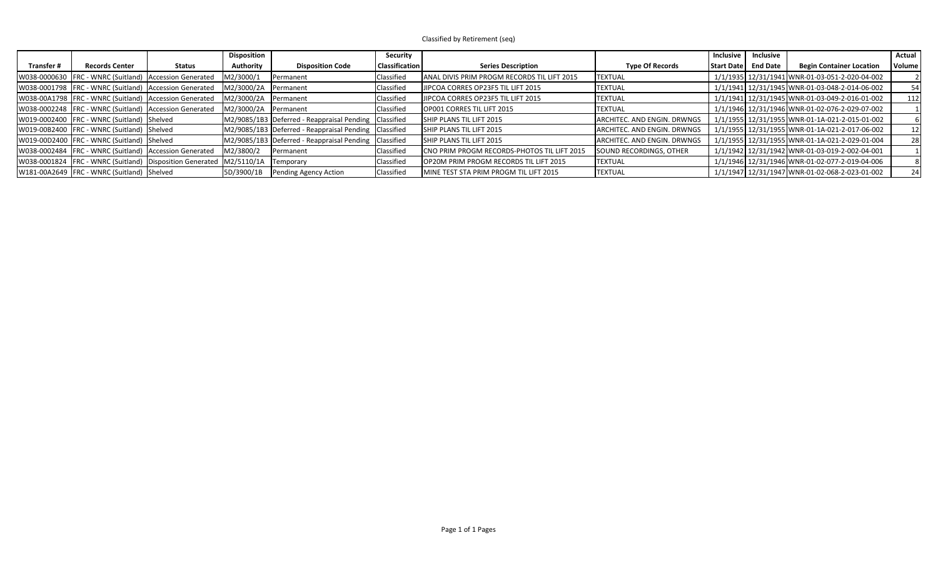Classified by Retirement (seq)

|            |                                                                           |               | <b>Disposition</b>   |                                                       | Security              |                                             |                             | Inclusive         | <b>Inclusive</b> |                                                | Actual          |
|------------|---------------------------------------------------------------------------|---------------|----------------------|-------------------------------------------------------|-----------------------|---------------------------------------------|-----------------------------|-------------------|------------------|------------------------------------------------|-----------------|
| Transfer # | <b>Records Center</b>                                                     | <b>Status</b> | Authority            | <b>Disposition Code</b>                               | <b>Classification</b> | <b>Series Description</b>                   | <b>Type Of Records</b>      | <b>Start Date</b> | <b>End Date</b>  | <b>Begin Container Location</b>                | Volume          |
|            | W038-0000630   FRC - WNRC (Suitland)   Accession Generated                |               | M2/3000/1            | <b>IPermanent</b>                                     | Classified            | ANAL DIVIS PRIM PROGM RECORDS TIL LIFT 2015 | <b>TEXTUAL</b>              |                   |                  | 1/1/1935 12/31/1941 WNR-01-03-051-2-020-04-002 |                 |
|            | W038-0001798   FRC - WNRC (Suitland)   Accession Generated                |               | M2/3000/2A           | <b>Permanent</b>                                      | Classified            | JIPCOA CORRES OP23F5 TIL LIFT 2015          | <b>TEXTUAL</b>              |                   |                  | 1/1/1941 12/31/1945 WNR-01-03-048-2-014-06-002 | 54              |
|            | W038-00A1798   FRC - WNRC (Suitland)   Accession Generated                |               | M2/3000/2A           | <b>Permanent</b>                                      | Classified            | JIPCOA CORRES OP23F5 TIL LIFT 2015          | <b>TEXTUAL</b>              |                   |                  | 1/1/1941 12/31/1945 WNR-01-03-049-2-016-01-002 | 112             |
|            | W038-0002248   FRC - WNRC (Suitland)   Accession Generated                |               | M2/3000/2A Permanent |                                                       | Classified            | OP001 CORRES TIL LIFT 2015                  | <b>ITEXTUAL</b>             |                   |                  | 1/1/1946 12/31/1946 WNR-01-02-076-2-029-07-002 |                 |
|            | W019-0002400   FRC - WNRC (Suitland) Shelved                              |               |                      | M2/9085/1B3 Deferred - Reappraisal Pending Classified |                       | <b>SHIP PLANS TIL LIFT 2015</b>             | ARCHITEC, AND ENGIN, DRWNGS |                   |                  | 1/1/1955 12/31/1955 WNR-01-1A-021-2-015-01-002 |                 |
|            | W019-00B2400 FRC - WNRC (Suitland) Shelved                                |               |                      | M2/9085/1B3 Deferred - Reappraisal Pending Classified |                       | <b>SHIP PLANS TIL LIFT 2015</b>             | ARCHITEC. AND ENGIN. DRWNGS |                   |                  | 1/1/1955 12/31/1955 WNR-01-1A-021-2-017-06-002 | 12 <sub>l</sub> |
|            | W019-00D2400   FRC - WNRC (Suitland) Shelved                              |               |                      | M2/9085/1B3 Deferred - Reappraisal Pending Classified |                       | <b>SHIP PLANS TIL LIFT 2015</b>             | ARCHITEC. AND ENGIN. DRWNGS |                   |                  | 1/1/1955 12/31/1955 WNR-01-1A-021-2-029-01-004 | 28              |
|            | W038-0002484   FRC - WNRC (Suitland)   Accession Generated                |               | M2/3800/2            | Permanent                                             | Classified            | CNO PRIM PROGM RECORDS-PHOTOS TIL LIFT 2015 | SOUND RECORDINGS, OTHER     |                   |                  | 1/1/1942 12/31/1942 WNR-01-03-019-2-002-04-001 |                 |
|            | W038-0001824   FRC - WNRC (Suitland)   Disposition Generated   M2/5110/1A |               |                      | Temporary                                             | Classified            | OP20M PRIM PROGM RECORDS TIL LIFT 2015      | <b>ITEXTUAL</b>             |                   |                  | 1/1/1946 12/31/1946 WNR-01-02-077-2-019-04-006 |                 |
|            | W181-00A2649   FRC - WNRC (Suitland) Shelved                              |               | 5D/3900/1B           | Pending Agency Action                                 | Classified            | MINE TEST STA PRIM PROGM TIL LIFT 2015      | <b>TEXTUAL</b>              |                   |                  | 1/1/1947 12/31/1947 WNR-01-02-068-2-023-01-002 | <b>241</b>      |